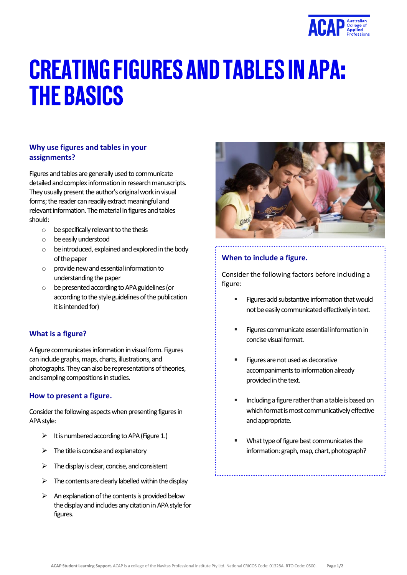

# **CREATING FIGURES AND TABLES IN APA: THE BASICS**

## **Why use figures and tables in your assignments?**

Figures and tables are generally used to communicate detailed and complex information in research manuscripts. They usually present the author's original work in visual forms; the reader can readily extract meaningful and relevant information. The material in figures and tables should:

- $\circ$  be specifically relevant to the thesis
- o be easily understood
- $\circ$  be introduced, explained and explored in the body of the paper
- $\circ$  provide new and essential information to understanding the paper
- o be presented according to APAguidelines (or according to the style guidelines of the publication it is intended for)

## **What is a figure?**

A figure communicates information in visual form. Figures can include graphs, maps, charts, illustrations, and photographs. They can also be representations of theories, and sampling compositions in studies.

## **How to present a figure.**

Consider the following aspects when presenting figures in APA style:

- $\triangleright$  It is numbered according to APA (Figure 1.)
- $\triangleright$  The title is concise and explanatory
- $\triangleright$  The display is clear, concise, and consistent
- $\triangleright$  The contents are clearly labelled within the display
- $\triangleright$  An explanation of the contents is provided below the display and includes any citation in APA style for figures.



## **When to include a figure.**

Consider the following factors before including a figure:

- Figures add substantive information that would not be easily communicated effectively in text.
- Figures communicate essential information in concise visual format.
- Figures are not used as decorative accompaniments to information already provided in the text.
- Including a figure rather than a table is based on which format is most communicatively effective and appropriate.
- What type of figure best communicates the information: graph, map, chart, photograph?